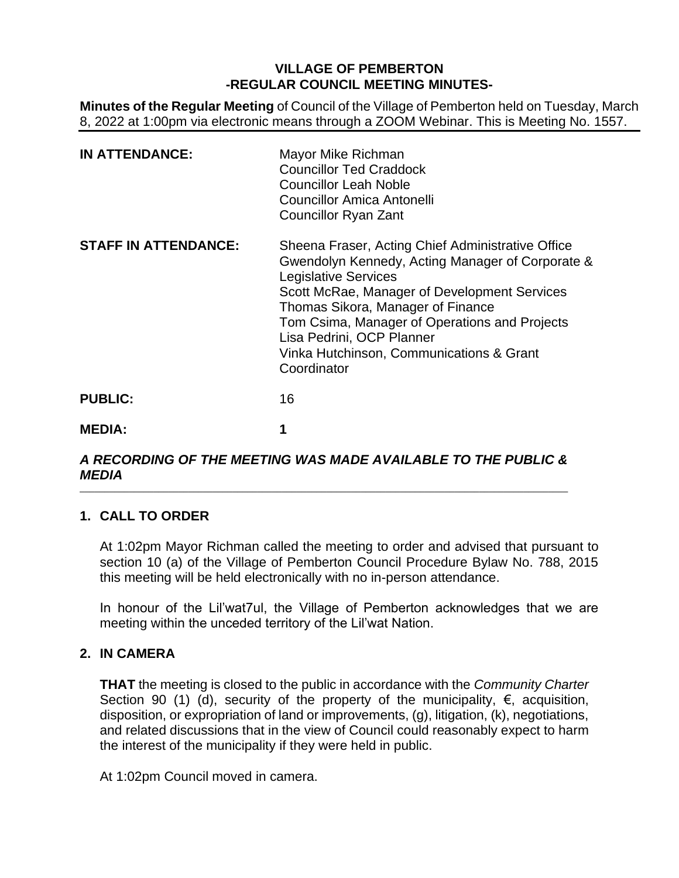# **VILLAGE OF PEMBERTON -REGULAR COUNCIL MEETING MINUTES-**

**Minutes of the Regular Meeting** of Council of the Village of Pemberton held on Tuesday, March 8, 2022 at 1:00pm via electronic means through a ZOOM Webinar. This is Meeting No. 1557.

| <b>IN ATTENDANCE:</b>       | Mayor Mike Richman<br><b>Councillor Ted Craddock</b><br><b>Councillor Leah Noble</b><br><b>Councillor Amica Antonelli</b><br><b>Councillor Ryan Zant</b>                                                                                                                                                                                                           |
|-----------------------------|--------------------------------------------------------------------------------------------------------------------------------------------------------------------------------------------------------------------------------------------------------------------------------------------------------------------------------------------------------------------|
| <b>STAFF IN ATTENDANCE:</b> | Sheena Fraser, Acting Chief Administrative Office<br>Gwendolyn Kennedy, Acting Manager of Corporate &<br><b>Legislative Services</b><br>Scott McRae, Manager of Development Services<br>Thomas Sikora, Manager of Finance<br>Tom Csima, Manager of Operations and Projects<br>Lisa Pedrini, OCP Planner<br>Vinka Hutchinson, Communications & Grant<br>Coordinator |
| <b>PUBLIC:</b>              | 16                                                                                                                                                                                                                                                                                                                                                                 |
| <b>MEDIA:</b>               | 1                                                                                                                                                                                                                                                                                                                                                                  |

#### *A RECORDING OF THE MEETING WAS MADE AVAILABLE TO THE PUBLIC & MEDIA* \_\_\_\_\_\_\_\_\_\_\_\_\_\_\_\_\_\_\_\_\_\_\_\_\_\_\_\_\_\_\_\_\_\_\_\_\_\_\_\_\_\_\_\_\_\_\_\_\_\_\_\_\_\_\_\_\_\_\_\_\_\_\_\_\_\_\_\_\_\_\_\_\_\_\_\_\_\_\_\_\_\_\_\_\_\_\_\_\_\_\_\_\_\_\_\_\_\_\_

# **1. CALL TO ORDER**

At 1:02pm Mayor Richman called the meeting to order and advised that pursuant to section 10 (a) of the Village of Pemberton Council Procedure Bylaw No. 788, 2015 this meeting will be held electronically with no in-person attendance.

In honour of the Lil'wat7ul, the Village of Pemberton acknowledges that we are meeting within the unceded territory of the Lil'wat Nation.

# **2. IN CAMERA**

**THAT** the meeting is closed to the public in accordance with the *Community Charter* Section 90 (1) (d), security of the property of the municipality,  $\epsilon$ , acquisition, disposition, or expropriation of land or improvements, (g), litigation, (k), negotiations, and related discussions that in the view of Council could reasonably expect to harm the interest of the municipality if they were held in public.

At 1:02pm Council moved in camera.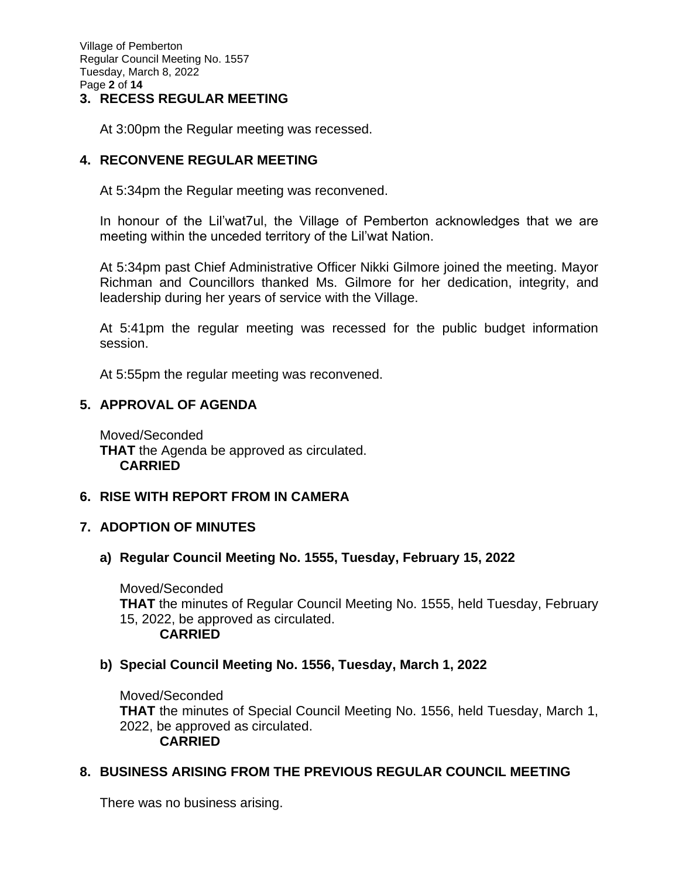Village of Pemberton Regular Council Meeting No. 1557 Tuesday, March 8, 2022 Page **2** of **14**

## **3. RECESS REGULAR MEETING**

At 3:00pm the Regular meeting was recessed.

# **4. RECONVENE REGULAR MEETING**

At 5:34pm the Regular meeting was reconvened.

In honour of the Lil'wat7ul, the Village of Pemberton acknowledges that we are meeting within the unceded territory of the Lil'wat Nation.

At 5:34pm past Chief Administrative Officer Nikki Gilmore joined the meeting. Mayor Richman and Councillors thanked Ms. Gilmore for her dedication, integrity, and leadership during her years of service with the Village.

At 5:41pm the regular meeting was recessed for the public budget information session.

At 5:55pm the regular meeting was reconvened.

# **5. APPROVAL OF AGENDA**

Moved/Seconded **THAT** the Agenda be approved as circulated. **CARRIED**

# **6. RISE WITH REPORT FROM IN CAMERA**

# **7. ADOPTION OF MINUTES**

# **a) Regular Council Meeting No. 1555, Tuesday, February 15, 2022**

Moved/Seconded **THAT** the minutes of Regular Council Meeting No. 1555, held Tuesday, February 15, 2022, be approved as circulated. **CARRIED**

# **b) Special Council Meeting No. 1556, Tuesday, March 1, 2022**

Moved/Seconded **THAT** the minutes of Special Council Meeting No. 1556, held Tuesday, March 1, 2022, be approved as circulated. **CARRIED**

# **8. BUSINESS ARISING FROM THE PREVIOUS REGULAR COUNCIL MEETING**

There was no business arising.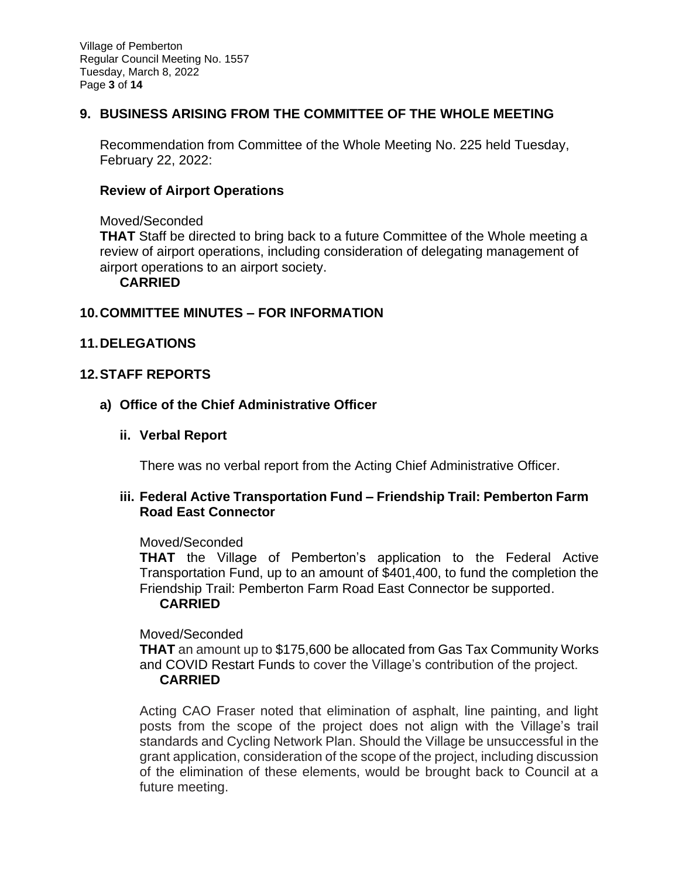Village of Pemberton Regular Council Meeting No. 1557 Tuesday, March 8, 2022 Page **3** of **14**

# **9. BUSINESS ARISING FROM THE COMMITTEE OF THE WHOLE MEETING**

Recommendation from Committee of the Whole Meeting No. 225 held Tuesday, February 22, 2022:

## **Review of Airport Operations**

#### Moved/Seconded

**THAT** Staff be directed to bring back to a future Committee of the Whole meeting a review of airport operations, including consideration of delegating management of airport operations to an airport society.

## **CARRIED**

## **10.COMMITTEE MINUTES – FOR INFORMATION**

## **11.DELEGATIONS**

## **12.STAFF REPORTS**

## **a) Office of the Chief Administrative Officer**

**ii. Verbal Report**

There was no verbal report from the Acting Chief Administrative Officer.

## **iii. Federal Active Transportation Fund – Friendship Trail: Pemberton Farm Road East Connector**

#### Moved/Seconded

**THAT** the Village of Pemberton's application to the Federal Active Transportation Fund, up to an amount of \$401,400, to fund the completion the Friendship Trail: Pemberton Farm Road East Connector be supported.

## **CARRIED**

Moved/Seconded

**THAT** an amount up to \$175,600 be allocated from Gas Tax Community Works and COVID Restart Funds to cover the Village's contribution of the project.

#### **CARRIED**

Acting CAO Fraser noted that elimination of asphalt, line painting, and light posts from the scope of the project does not align with the Village's trail standards and Cycling Network Plan. Should the Village be unsuccessful in the grant application, consideration of the scope of the project, including discussion of the elimination of these elements, would be brought back to Council at a future meeting.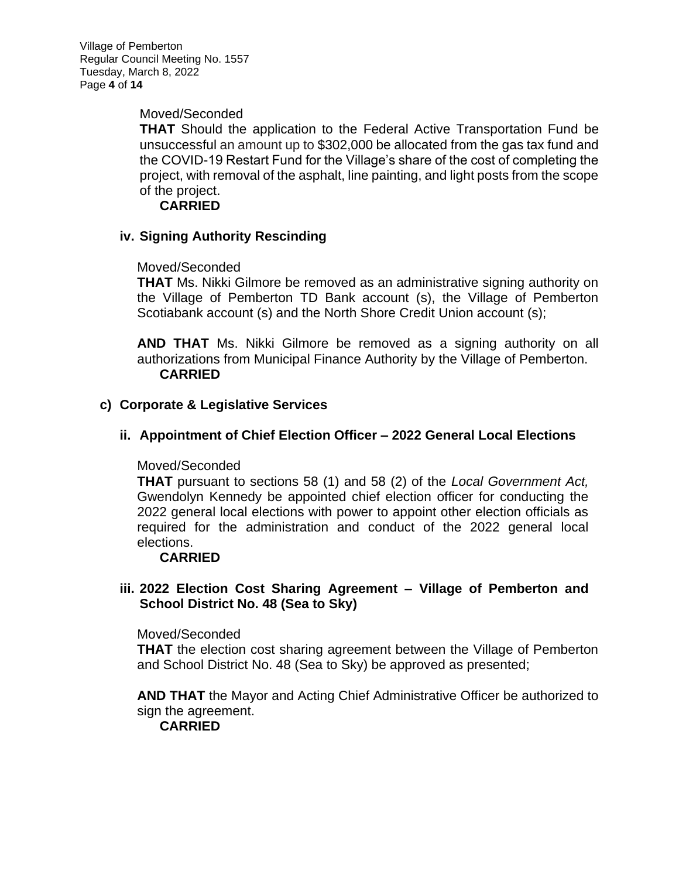Village of Pemberton Regular Council Meeting No. 1557 Tuesday, March 8, 2022 Page **4** of **14**

Moved/Seconded

**THAT** Should the application to the Federal Active Transportation Fund be unsuccessful an amount up to \$302,000 be allocated from the gas tax fund and the COVID-19 Restart Fund for the Village's share of the cost of completing the project, with removal of the asphalt, line painting, and light posts from the scope of the project.

**CARRIED**

# **iv. Signing Authority Rescinding**

## Moved/Seconded

**THAT** Ms. Nikki Gilmore be removed as an administrative signing authority on the Village of Pemberton TD Bank account (s), the Village of Pemberton Scotiabank account (s) and the North Shore Credit Union account (s);

**AND THAT** Ms. Nikki Gilmore be removed as a signing authority on all authorizations from Municipal Finance Authority by the Village of Pemberton. **CARRIED**

## **c) Corporate & Legislative Services**

## **ii. Appointment of Chief Election Officer – 2022 General Local Elections**

## Moved/Seconded

**THAT** pursuant to sections 58 (1) and 58 (2) of the *Local Government Act,* Gwendolyn Kennedy be appointed chief election officer for conducting the 2022 general local elections with power to appoint other election officials as required for the administration and conduct of the 2022 general local elections.

# **CARRIED**

# **iii. 2022 Election Cost Sharing Agreement – Village of Pemberton and School District No. 48 (Sea to Sky)**

## Moved/Seconded

**THAT** the election cost sharing agreement between the Village of Pemberton and School District No. 48 (Sea to Sky) be approved as presented;

**AND THAT** the Mayor and Acting Chief Administrative Officer be authorized to sign the agreement.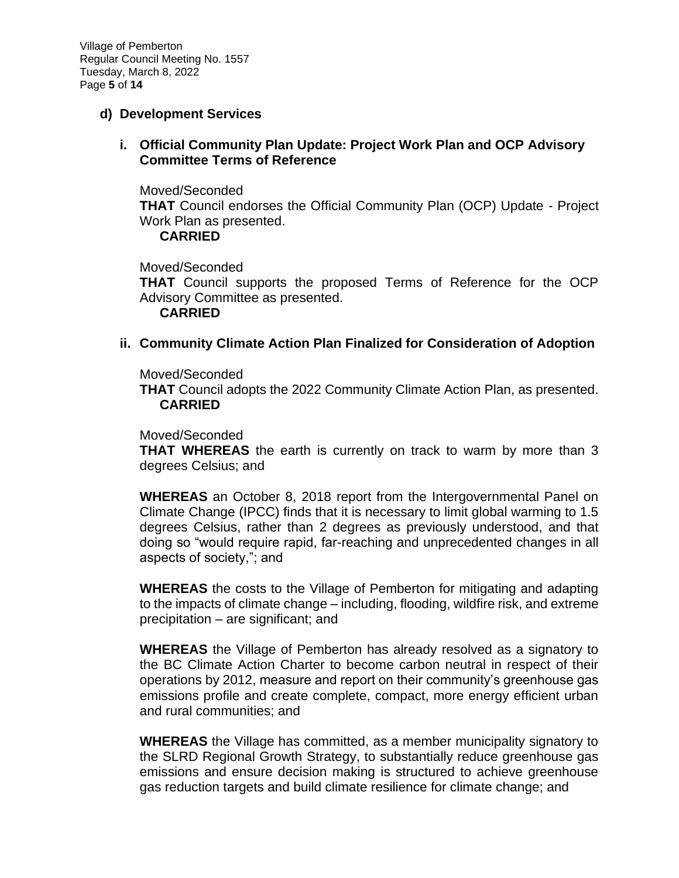Village of Pemberton Regular Council Meeting No. 1557 Tuesday, March 8, 2022 Page **5** of **14**

## **d) Development Services**

**i. Official Community Plan Update: Project Work Plan and OCP Advisory Committee Terms of Reference**

Moved/Seconded **THAT** Council endorses the Official Community Plan (OCP) Update - Project Work Plan as presented.

#### **CARRIED**

Moved/Seconded

**THAT** Council supports the proposed Terms of Reference for the OCP Advisory Committee as presented.

**CARRIED**

## **ii. Community Climate Action Plan Finalized for Consideration of Adoption**

Moved/Seconded

**THAT** Council adopts the 2022 Community Climate Action Plan, as presented. **CARRIED**

## Moved/Seconded

**THAT WHEREAS** the earth is currently on track to warm by more than 3 degrees Celsius; and

**WHEREAS** an October 8, 2018 report from the Intergovernmental Panel on Climate Change (IPCC) finds that it is necessary to limit global warming to 1.5 degrees Celsius, rather than 2 degrees as previously understood, and that doing so "would require rapid, far-reaching and unprecedented changes in all aspects of society,"; and

**WHEREAS** the costs to the Village of Pemberton for mitigating and adapting to the impacts of climate change – including, flooding, wildfire risk, and extreme precipitation – are significant; and

**WHEREAS** the Village of Pemberton has already resolved as a signatory to the BC Climate Action Charter to become carbon neutral in respect of their operations by 2012, measure and report on their community's greenhouse gas emissions profile and create complete, compact, more energy efficient urban and rural communities; and

**WHEREAS** the Village has committed, as a member municipality signatory to the SLRD Regional Growth Strategy, to substantially reduce greenhouse gas emissions and ensure decision making is structured to achieve greenhouse gas reduction targets and build climate resilience for climate change; and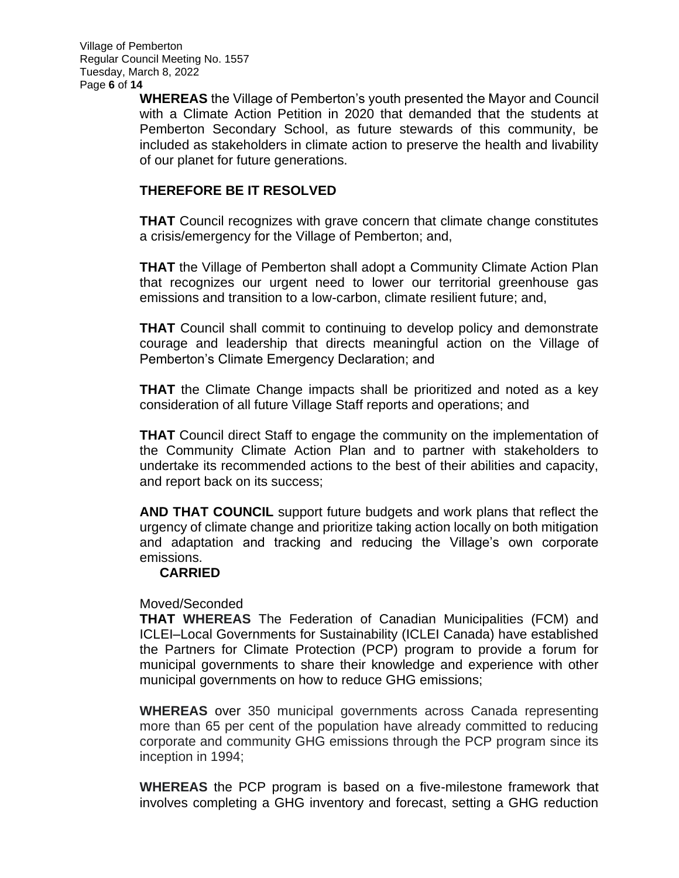**WHEREAS** the Village of Pemberton's youth presented the Mayor and Council with a Climate Action Petition in 2020 that demanded that the students at Pemberton Secondary School, as future stewards of this community, be included as stakeholders in climate action to preserve the health and livability of our planet for future generations.

# **THEREFORE BE IT RESOLVED**

**THAT** Council recognizes with grave concern that climate change constitutes a crisis/emergency for the Village of Pemberton; and,

**THAT** the Village of Pemberton shall adopt a Community Climate Action Plan that recognizes our urgent need to lower our territorial greenhouse gas emissions and transition to a low-carbon, climate resilient future; and,

**THAT** Council shall commit to continuing to develop policy and demonstrate courage and leadership that directs meaningful action on the Village of Pemberton's Climate Emergency Declaration; and

**THAT** the Climate Change impacts shall be prioritized and noted as a key consideration of all future Village Staff reports and operations; and

**THAT** Council direct Staff to engage the community on the implementation of the Community Climate Action Plan and to partner with stakeholders to undertake its recommended actions to the best of their abilities and capacity, and report back on its success;

**AND THAT COUNCIL** support future budgets and work plans that reflect the urgency of climate change and prioritize taking action locally on both mitigation and adaptation and tracking and reducing the Village's own corporate emissions.

# **CARRIED**

## Moved/Seconded

**THAT WHEREAS** The Federation of Canadian Municipalities (FCM) and ICLEI–Local Governments for Sustainability (ICLEI Canada) have established the Partners for Climate Protection (PCP) program to provide a forum for municipal governments to share their knowledge and experience with other municipal governments on how to reduce GHG emissions;

**WHEREAS** over 350 municipal governments across Canada representing more than 65 per cent of the population have already committed to reducing corporate and community GHG emissions through the PCP program since its inception in 1994;

**WHEREAS** the PCP program is based on a five-milestone framework that involves completing a GHG inventory and forecast, setting a GHG reduction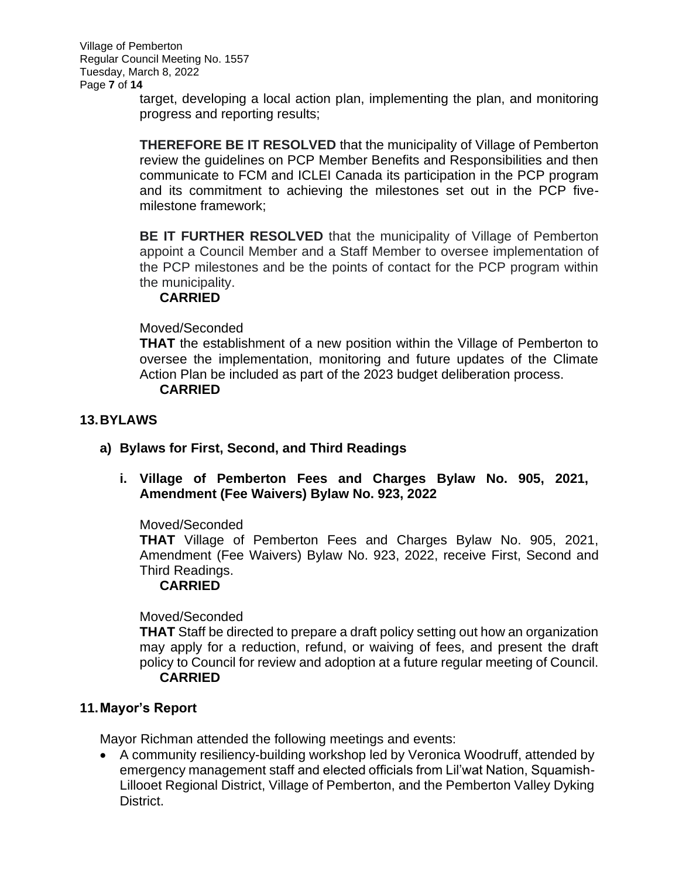target, developing a local action plan, implementing the plan, and monitoring progress and reporting results;

**THEREFORE BE IT RESOLVED** that the municipality of Village of Pemberton review the guidelines on PCP Member Benefits and Responsibilities and then communicate to FCM and ICLEI Canada its participation in the PCP program and its commitment to achieving the milestones set out in the PCP fivemilestone framework;

**BE IT FURTHER RESOLVED** that the municipality of Village of Pemberton appoint a Council Member and a Staff Member to oversee implementation of the PCP milestones and be the points of contact for the PCP program within the municipality.

## **CARRIED**

## Moved/Seconded

**THAT** the establishment of a new position within the Village of Pemberton to oversee the implementation, monitoring and future updates of the Climate Action Plan be included as part of the 2023 budget deliberation process.

## **CARRIED**

## **13.BYLAWS**

- **a) Bylaws for First, Second, and Third Readings**
	- **i. Village of Pemberton Fees and Charges Bylaw No. 905, 2021, Amendment (Fee Waivers) Bylaw No. 923, 2022**

## Moved/Seconded

**THAT** Village of Pemberton Fees and Charges Bylaw No. 905, 2021, Amendment (Fee Waivers) Bylaw No. 923, 2022, receive First, Second and Third Readings.

# **CARRIED**

Moved/Seconded

**THAT** Staff be directed to prepare a draft policy setting out how an organization may apply for a reduction, refund, or waiving of fees, and present the draft policy to Council for review and adoption at a future regular meeting of Council. **CARRIED**

## **11.Mayor's Report**

Mayor Richman attended the following meetings and events:

• A community resiliency-building workshop led by Veronica Woodruff, attended by emergency management staff and elected officials from Lil'wat Nation, Squamish-Lillooet Regional District, Village of Pemberton, and the Pemberton Valley Dyking District.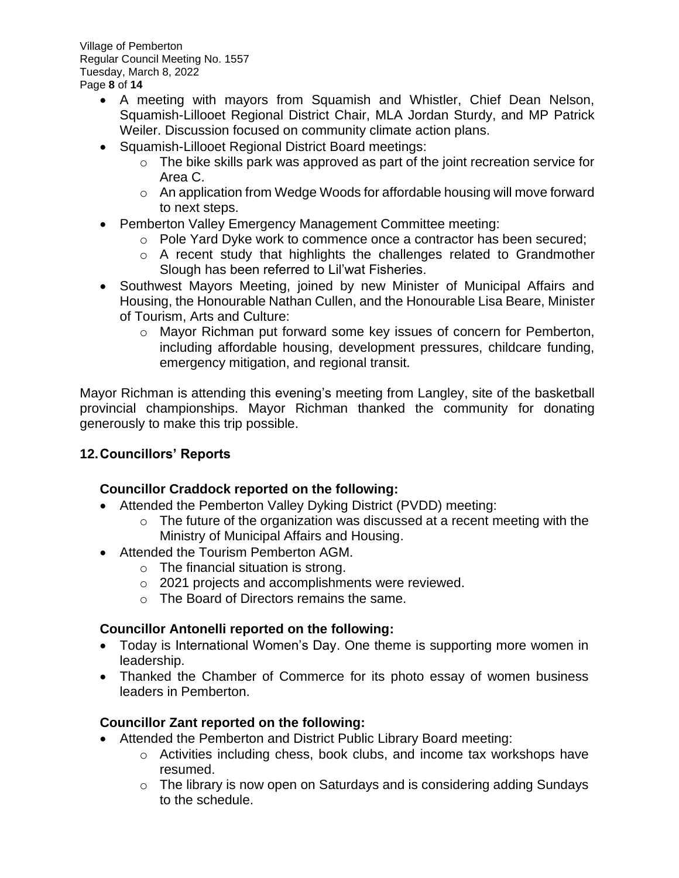- A meeting with mayors from Squamish and Whistler, Chief Dean Nelson, Squamish-Lillooet Regional District Chair, MLA Jordan Sturdy, and MP Patrick Weiler. Discussion focused on community climate action plans.
- Squamish-Lillooet Regional District Board meetings:
	- $\circ$  The bike skills park was approved as part of the joint recreation service for Area C.
	- o An application from Wedge Woods for affordable housing will move forward to next steps.
- Pemberton Valley Emergency Management Committee meeting:
	- o Pole Yard Dyke work to commence once a contractor has been secured;
	- o A recent study that highlights the challenges related to Grandmother Slough has been referred to Lil'wat Fisheries.
- Southwest Mayors Meeting, joined by new Minister of Municipal Affairs and Housing, the Honourable Nathan Cullen, and the Honourable Lisa Beare, Minister of Tourism, Arts and Culture:
	- o Mayor Richman put forward some key issues of concern for Pemberton, including affordable housing, development pressures, childcare funding, emergency mitigation, and regional transit.

Mayor Richman is attending this evening's meeting from Langley, site of the basketball provincial championships. Mayor Richman thanked the community for donating generously to make this trip possible.

# **12.Councillors' Reports**

# **Councillor Craddock reported on the following:**

- Attended the Pemberton Valley Dyking District (PVDD) meeting:
	- o The future of the organization was discussed at a recent meeting with the Ministry of Municipal Affairs and Housing.
- Attended the Tourism Pemberton AGM.
	- o The financial situation is strong.
	- o 2021 projects and accomplishments were reviewed.
	- o The Board of Directors remains the same.

# **Councillor Antonelli reported on the following:**

- Today is International Women's Day. One theme is supporting more women in leadership.
- Thanked the Chamber of Commerce for its photo essay of women business leaders in Pemberton.

# **Councillor Zant reported on the following:**

- Attended the Pemberton and District Public Library Board meeting:
	- o Activities including chess, book clubs, and income tax workshops have resumed.
	- $\circ$  The library is now open on Saturdays and is considering adding Sundays to the schedule.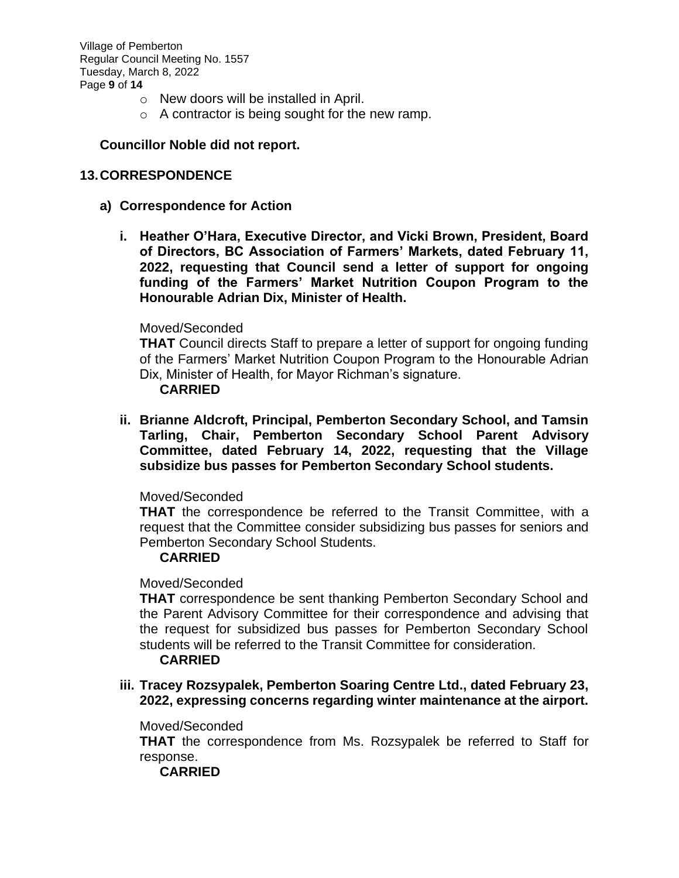Village of Pemberton Regular Council Meeting No. 1557 Tuesday, March 8, 2022 Page **9** of **14**

- o New doors will be installed in April.
- o A contractor is being sought for the new ramp.

## **Councillor Noble did not report.**

## **13.CORRESPONDENCE**

- **a) Correspondence for Action**
	- **i. Heather O'Hara, Executive Director, and Vicki Brown, President, Board of Directors, BC Association of Farmers' Markets, dated February 11, 2022, requesting that Council send a letter of support for ongoing funding of the Farmers' Market Nutrition Coupon Program to the Honourable Adrian Dix, Minister of Health.**

#### Moved/Seconded

**THAT** Council directs Staff to prepare a letter of support for ongoing funding of the Farmers' Market Nutrition Coupon Program to the Honourable Adrian Dix, Minister of Health, for Mayor Richman's signature.

#### **CARRIED**

**ii. Brianne Aldcroft, Principal, Pemberton Secondary School, and Tamsin Tarling, Chair, Pemberton Secondary School Parent Advisory Committee, dated February 14, 2022, requesting that the Village subsidize bus passes for Pemberton Secondary School students.**

## Moved/Seconded

**THAT** the correspondence be referred to the Transit Committee, with a request that the Committee consider subsidizing bus passes for seniors and Pemberton Secondary School Students.

## **CARRIED**

## Moved/Seconded

**THAT** correspondence be sent thanking Pemberton Secondary School and the Parent Advisory Committee for their correspondence and advising that the request for subsidized bus passes for Pemberton Secondary School students will be referred to the Transit Committee for consideration.

## **CARRIED**

**iii. Tracey Rozsypalek, Pemberton Soaring Centre Ltd., dated February 23, 2022, expressing concerns regarding winter maintenance at the airport.** 

#### Moved/Seconded

**THAT** the correspondence from Ms. Rozsypalek be referred to Staff for response.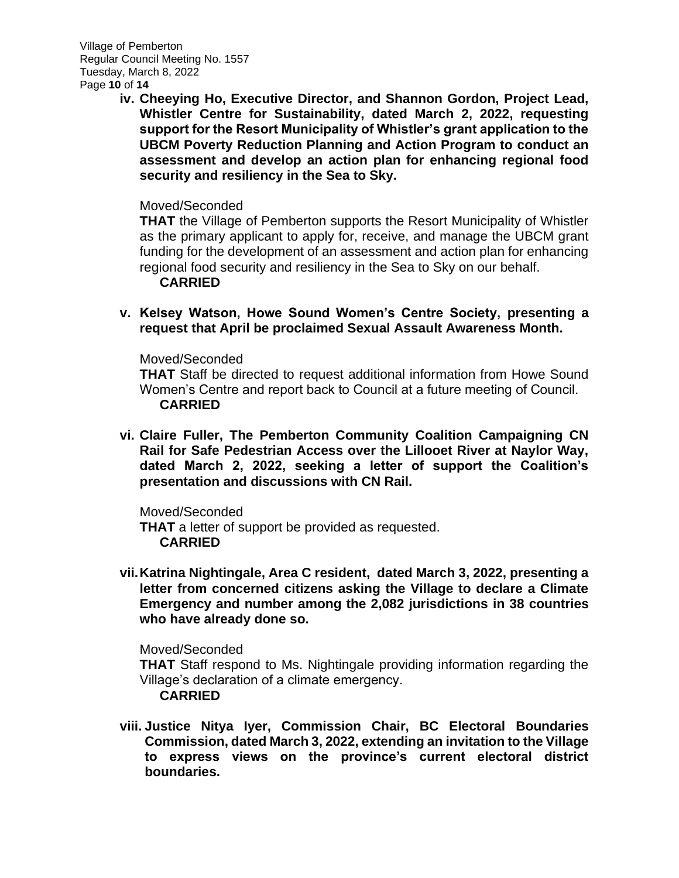**iv. Cheeying Ho, Executive Director, and Shannon Gordon, Project Lead, Whistler Centre for Sustainability, dated March 2, 2022, requesting support for the Resort Municipality of Whistler's grant application to the UBCM Poverty Reduction Planning and Action Program to conduct an assessment and develop an action plan for enhancing regional food security and resiliency in the Sea to Sky.** 

## Moved/Seconded

**THAT** the Village of Pemberton supports the Resort Municipality of Whistler as the primary applicant to apply for, receive, and manage the UBCM grant funding for the development of an assessment and action plan for enhancing regional food security and resiliency in the Sea to Sky on our behalf.

## **CARRIED**

**v. Kelsey Watson, Howe Sound Women's Centre Society, presenting a request that April be proclaimed Sexual Assault Awareness Month.**

## Moved/Seconded

**THAT** Staff be directed to request additional information from Howe Sound Women's Centre and report back to Council at a future meeting of Council. **CARRIED**

**vi. Claire Fuller, The Pemberton Community Coalition Campaigning CN Rail for Safe Pedestrian Access over the Lillooet River at Naylor Way, dated March 2, 2022, seeking a letter of support the Coalition's presentation and discussions with CN Rail.**

Moved/Seconded **THAT** a letter of support be provided as requested. **CARRIED**

**vii.Katrina Nightingale, Area C resident, dated March 3, 2022, presenting a letter from concerned citizens asking the Village to declare a Climate Emergency and number among the 2,082 jurisdictions in 38 countries who have already done so.** 

## Moved/Seconded

**THAT** Staff respond to Ms. Nightingale providing information regarding the Village's declaration of a climate emergency.

## **CARRIED**

**viii. Justice Nitya Iyer, Commission Chair, BC Electoral Boundaries Commission, dated March 3, 2022, extending an invitation to the Village to express views on the province's current electoral district boundaries.**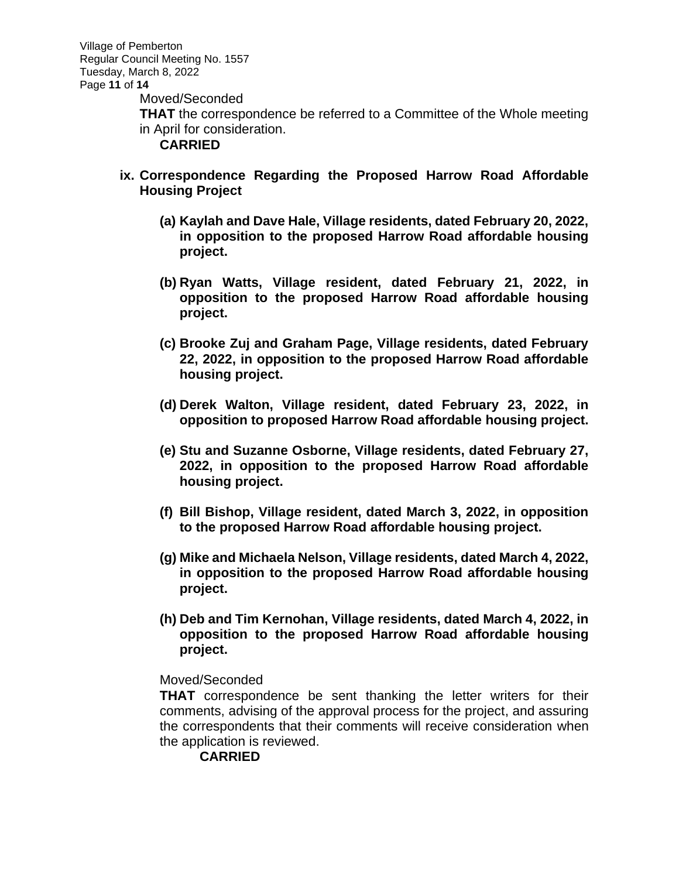Moved/Seconded

**THAT** the correspondence be referred to a Committee of the Whole meeting in April for consideration.

**CARRIED**

- **ix. Correspondence Regarding the Proposed Harrow Road Affordable Housing Project**
	- **(a) Kaylah and Dave Hale, Village residents, dated February 20, 2022, in opposition to the proposed Harrow Road affordable housing project.**
	- **(b) Ryan Watts, Village resident, dated February 21, 2022, in opposition to the proposed Harrow Road affordable housing project.**
	- **(c) Brooke Zuj and Graham Page, Village residents, dated February 22, 2022, in opposition to the proposed Harrow Road affordable housing project.**
	- **(d) Derek Walton, Village resident, dated February 23, 2022, in opposition to proposed Harrow Road affordable housing project.**
	- **(e) Stu and Suzanne Osborne, Village residents, dated February 27, 2022, in opposition to the proposed Harrow Road affordable housing project.**
	- **(f) Bill Bishop, Village resident, dated March 3, 2022, in opposition to the proposed Harrow Road affordable housing project.**
	- **(g) Mike and Michaela Nelson, Village residents, dated March 4, 2022, in opposition to the proposed Harrow Road affordable housing project.**
	- **(h) Deb and Tim Kernohan, Village residents, dated March 4, 2022, in opposition to the proposed Harrow Road affordable housing project.**

## Moved/Seconded

**THAT** correspondence be sent thanking the letter writers for their comments, advising of the approval process for the project, and assuring the correspondents that their comments will receive consideration when the application is reviewed.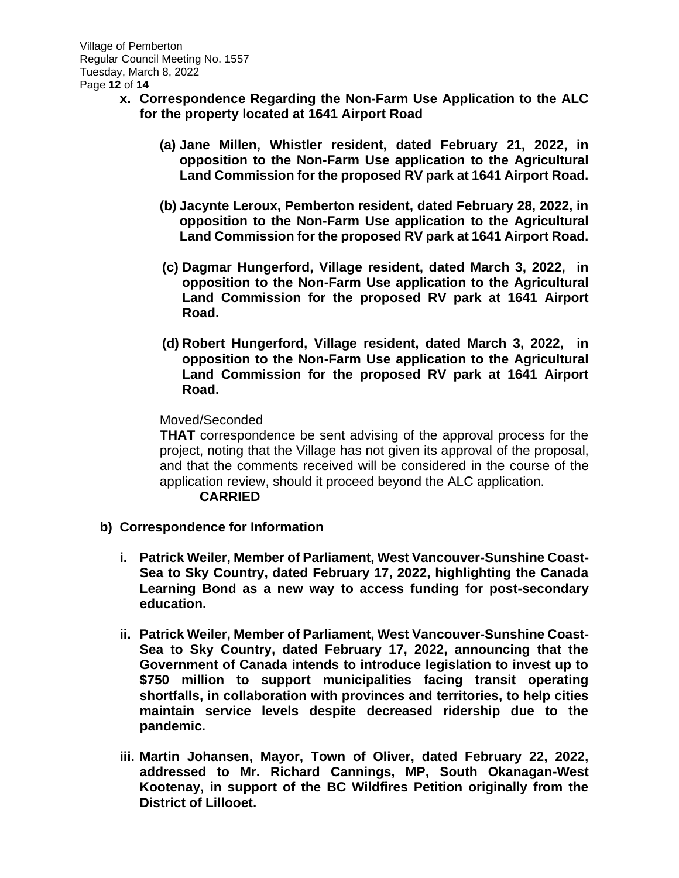- **x. Correspondence Regarding the Non-Farm Use Application to the ALC for the property located at 1641 Airport Road**
	- **(a) Jane Millen, Whistler resident, dated February 21, 2022, in opposition to the Non-Farm Use application to the Agricultural Land Commission for the proposed RV park at 1641 Airport Road.**
	- **(b) Jacynte Leroux, Pemberton resident, dated February 28, 2022, in opposition to the Non-Farm Use application to the Agricultural Land Commission for the proposed RV park at 1641 Airport Road.**
	- **(c) Dagmar Hungerford, Village resident, dated March 3, 2022, in opposition to the Non-Farm Use application to the Agricultural Land Commission for the proposed RV park at 1641 Airport Road.**
	- **(d) Robert Hungerford, Village resident, dated March 3, 2022, in opposition to the Non-Farm Use application to the Agricultural Land Commission for the proposed RV park at 1641 Airport Road.**

## Moved/Seconded

**THAT** correspondence be sent advising of the approval process for the project, noting that the Village has not given its approval of the proposal, and that the comments received will be considered in the course of the application review, should it proceed beyond the ALC application.

- **b) Correspondence for Information**
	- **i. Patrick Weiler, Member of Parliament, West Vancouver-Sunshine Coast-Sea to Sky Country, dated February 17, 2022, highlighting the Canada Learning Bond as a new way to access funding for post-secondary education.**
	- **ii. Patrick Weiler, Member of Parliament, West Vancouver-Sunshine Coast-Sea to Sky Country, dated February 17, 2022, announcing that the Government of Canada intends to introduce legislation to invest up to \$750 million to support municipalities facing transit operating shortfalls, in collaboration with provinces and territories, to help cities maintain service levels despite decreased ridership due to the pandemic.**
	- **iii. Martin Johansen, Mayor, Town of Oliver, dated February 22, 2022, addressed to Mr. Richard Cannings, MP, South Okanagan-West Kootenay, in support of the BC Wildfires Petition originally from the District of Lillooet.**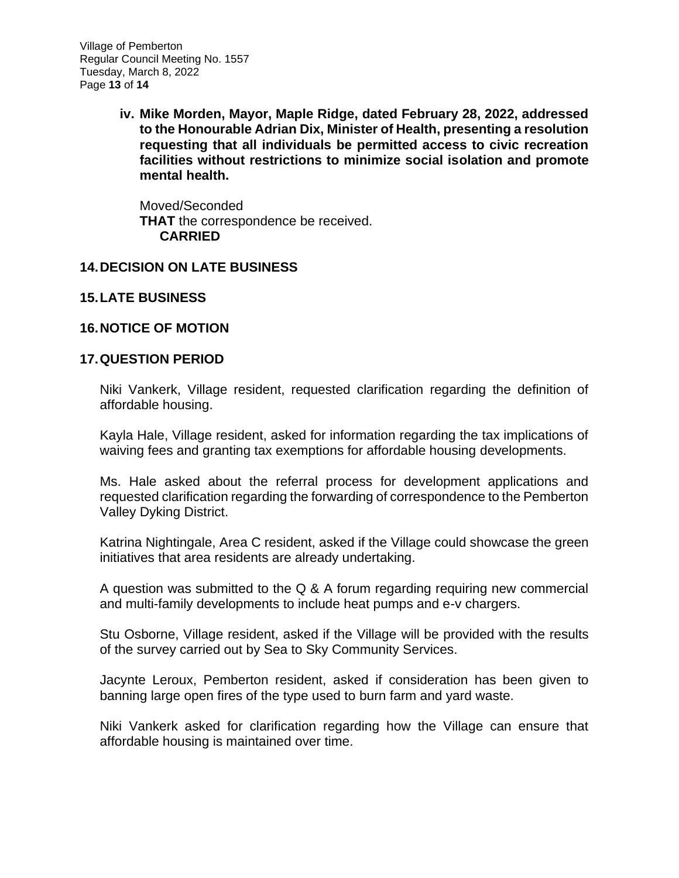**iv. Mike Morden, Mayor, Maple Ridge, dated February 28, 2022, addressed to the Honourable Adrian Dix, Minister of Health, presenting a resolution requesting that all individuals be permitted access to civic recreation facilities without restrictions to minimize social isolation and promote mental health.** 

Moved/Seconded **THAT** the correspondence be received. **CARRIED**

# **14.DECISION ON LATE BUSINESS**

# **15.LATE BUSINESS**

# **16.NOTICE OF MOTION**

# **17.QUESTION PERIOD**

Niki Vankerk, Village resident, requested clarification regarding the definition of affordable housing.

Kayla Hale, Village resident, asked for information regarding the tax implications of waiving fees and granting tax exemptions for affordable housing developments.

Ms. Hale asked about the referral process for development applications and requested clarification regarding the forwarding of correspondence to the Pemberton Valley Dyking District.

Katrina Nightingale, Area C resident, asked if the Village could showcase the green initiatives that area residents are already undertaking.

A question was submitted to the Q & A forum regarding requiring new commercial and multi-family developments to include heat pumps and e-v chargers.

Stu Osborne, Village resident, asked if the Village will be provided with the results of the survey carried out by Sea to Sky Community Services.

Jacynte Leroux, Pemberton resident, asked if consideration has been given to banning large open fires of the type used to burn farm and yard waste.

Niki Vankerk asked for clarification regarding how the Village can ensure that affordable housing is maintained over time.